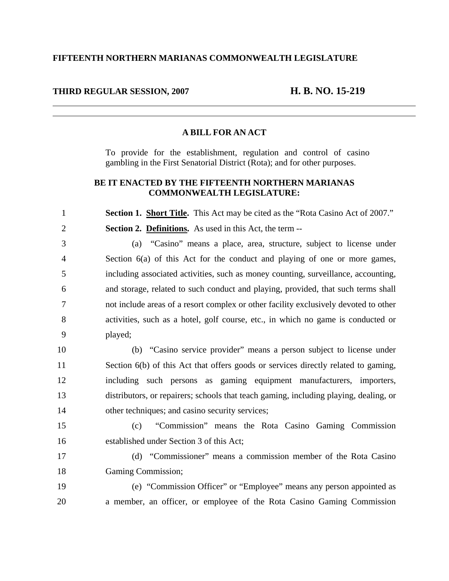## **FIFTEENTH NORTHERN MARIANAS COMMONWEALTH LEGISLATURE**

### **THIRD REGULAR SESSION, 2007 H. B. NO. 15-219**

#### **A BILL FOR AN ACT**

To provide for the establishment, regulation and control of casino gambling in the First Senatorial District (Rota); and for other purposes.

# **BE IT ENACTED BY THE FIFTEENTH NORTHERN MARIANAS COMMONWEALTH LEGISLATURE:**

1 **Section 1. Short Title.** This Act may be cited as the "Rota Casino Act of 2007." 2 **Section 2. Definitions.** As used in this Act, the term --

3 (a) "Casino" means a place, area, structure, subject to license under 4 Section 6(a) of this Act for the conduct and playing of one or more games, 5 including associated activities, such as money counting, surveillance, accounting, 6 and storage, related to such conduct and playing, provided, that such terms shall 7 not include areas of a resort complex or other facility exclusively devoted to other 8 activities, such as a hotel, golf course, etc., in which no game is conducted or 9 played;

10 (b) "Casino service provider" means a person subject to license under 11 Section 6(b) of this Act that offers goods or services directly related to gaming, 12 including such persons as gaming equipment manufacturers, importers, 13 distributors, or repairers; schools that teach gaming, including playing, dealing, or 14 other techniques; and casino security services;

15 (c) "Commission" means the Rota Casino Gaming Commission 16 established under Section 3 of this Act;

17 (d) "Commissioner" means a commission member of the Rota Casino 18 Gaming Commission;

19 (e) "Commission Officer" or "Employee" means any person appointed as 20 a member, an officer, or employee of the Rota Casino Gaming Commission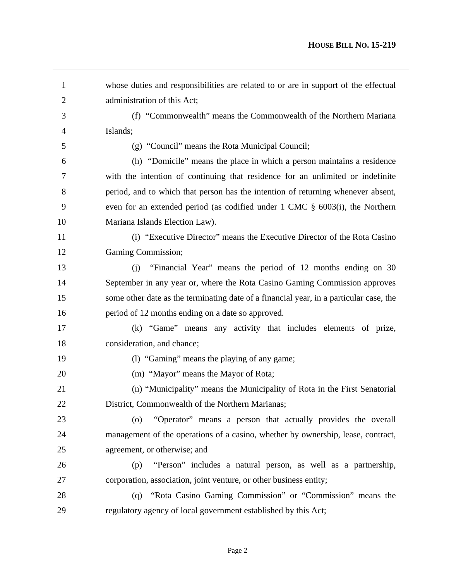| $\mathbf{1}$   | whose duties and responsibilities are related to or are in support of the effectual     |
|----------------|-----------------------------------------------------------------------------------------|
| $\overline{2}$ | administration of this Act;                                                             |
| 3              | (f) "Commonwealth" means the Commonwealth of the Northern Mariana                       |
| $\overline{4}$ | Islands;                                                                                |
| 5              | (g) "Council" means the Rota Municipal Council;                                         |
| 6              | (h) "Domicile" means the place in which a person maintains a residence                  |
| 7              | with the intention of continuing that residence for an unlimited or indefinite          |
| 8              | period, and to which that person has the intention of returning whenever absent,        |
| 9              | even for an extended period (as codified under $1 \text{ CMC }$ § 6003(i), the Northern |
| 10             | Mariana Islands Election Law).                                                          |
| 11             | (i) "Executive Director" means the Executive Director of the Rota Casino                |
| 12             | Gaming Commission;                                                                      |
| 13             | "Financial Year" means the period of 12 months ending on 30<br>(i)                      |
| 14             | September in any year or, where the Rota Casino Gaming Commission approves              |
| 15             | some other date as the terminating date of a financial year, in a particular case, the  |
| 16             | period of 12 months ending on a date so approved.                                       |
| 17             | (k) "Game" means any activity that includes elements of prize,                          |
| 18             | consideration, and chance;                                                              |
| 19             | (1) "Gaming" means the playing of any game;                                             |
| 20             | (m) "Mayor" means the Mayor of Rota;                                                    |
| 21             | (n) "Municipality" means the Municipality of Rota in the First Senatorial               |
| 22             | District, Commonwealth of the Northern Marianas;                                        |
| 23             | "Operator" means a person that actually provides the overall<br>$\left( 0\right)$       |
| 24             | management of the operations of a casino, whether by ownership, lease, contract,        |
| 25             | agreement, or otherwise; and                                                            |
| 26             | "Person" includes a natural person, as well as a partnership,<br>(p)                    |
| 27             | corporation, association, joint venture, or other business entity;                      |
| 28             | "Rota Casino Gaming Commission" or "Commission" means the<br>(q)                        |
| 29             | regulatory agency of local government established by this Act;                          |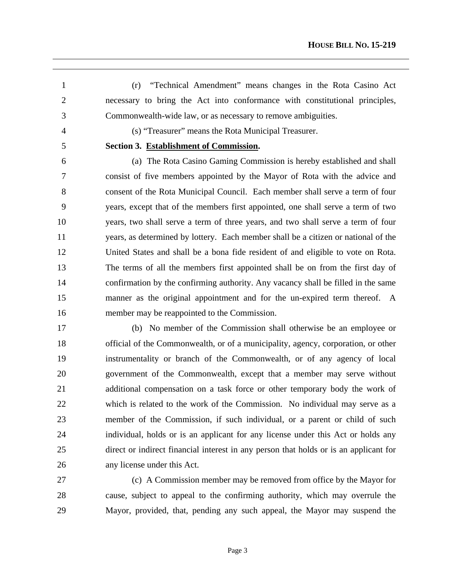1 (r) "Technical Amendment" means changes in the Rota Casino Act 2 necessary to bring the Act into conformance with constitutional principles, 3 Commonwealth-wide law, or as necessary to remove ambiguities.

4 (s) "Treasurer" means the Rota Municipal Treasurer.

 $\overline{a}$ 

# 5 **Section 3. Establishment of Commission.**

6 (a) The Rota Casino Gaming Commission is hereby established and shall 7 consist of five members appointed by the Mayor of Rota with the advice and 8 consent of the Rota Municipal Council. Each member shall serve a term of four 9 years, except that of the members first appointed, one shall serve a term of two 10 years, two shall serve a term of three years, and two shall serve a term of four 11 years, as determined by lottery. Each member shall be a citizen or national of the 12 United States and shall be a bona fide resident of and eligible to vote on Rota. 13 The terms of all the members first appointed shall be on from the first day of 14 confirmation by the confirming authority. Any vacancy shall be filled in the same 15 manner as the original appointment and for the un-expired term thereof. A 16 member may be reappointed to the Commission.

17 (b) No member of the Commission shall otherwise be an employee or 18 official of the Commonwealth, or of a municipality, agency, corporation, or other 19 instrumentality or branch of the Commonwealth, or of any agency of local 20 government of the Commonwealth, except that a member may serve without 21 additional compensation on a task force or other temporary body the work of 22 which is related to the work of the Commission. No individual may serve as a 23 member of the Commission, if such individual, or a parent or child of such 24 individual, holds or is an applicant for any license under this Act or holds any 25 direct or indirect financial interest in any person that holds or is an applicant for 26 any license under this Act.

27 (c) A Commission member may be removed from office by the Mayor for 28 cause, subject to appeal to the confirming authority, which may overrule the 29 Mayor, provided, that, pending any such appeal, the Mayor may suspend the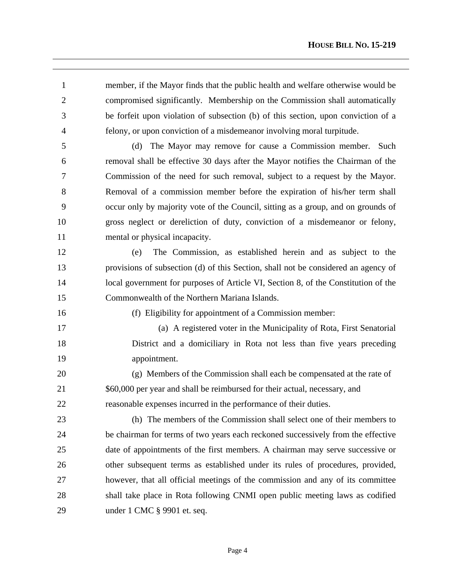1 member, if the Mayor finds that the public health and welfare otherwise would be 2 compromised significantly. Membership on the Commission shall automatically 3 be forfeit upon violation of subsection (b) of this section, upon conviction of a 4 felony, or upon conviction of a misdemeanor involving moral turpitude.

 $\overline{a}$ 

5 (d) The Mayor may remove for cause a Commission member. Such 6 removal shall be effective 30 days after the Mayor notifies the Chairman of the 7 Commission of the need for such removal, subject to a request by the Mayor. 8 Removal of a commission member before the expiration of his/her term shall 9 occur only by majority vote of the Council, sitting as a group, and on grounds of 10 gross neglect or dereliction of duty, conviction of a misdemeanor or felony, 11 mental or physical incapacity.

12 (e) The Commission, as established herein and as subject to the 13 provisions of subsection (d) of this Section, shall not be considered an agency of 14 local government for purposes of Article VI, Section 8, of the Constitution of the 15 Commonwealth of the Northern Mariana Islands.

16 (f) Eligibility for appointment of a Commission member:

17 (a) A registered voter in the Municipality of Rota, First Senatorial 18 District and a domiciliary in Rota not less than five years preceding 19 appointment.

20 (g) Members of the Commission shall each be compensated at the rate of 21 \$60,000 per year and shall be reimbursed for their actual, necessary, and 22 reasonable expenses incurred in the performance of their duties.

23 (h) The members of the Commission shall select one of their members to 24 be chairman for terms of two years each reckoned successively from the effective 25 date of appointments of the first members. A chairman may serve successive or 26 other subsequent terms as established under its rules of procedures, provided, 27 however, that all official meetings of the commission and any of its committee 28 shall take place in Rota following CNMI open public meeting laws as codified 29 under 1 CMC § 9901 et. seq.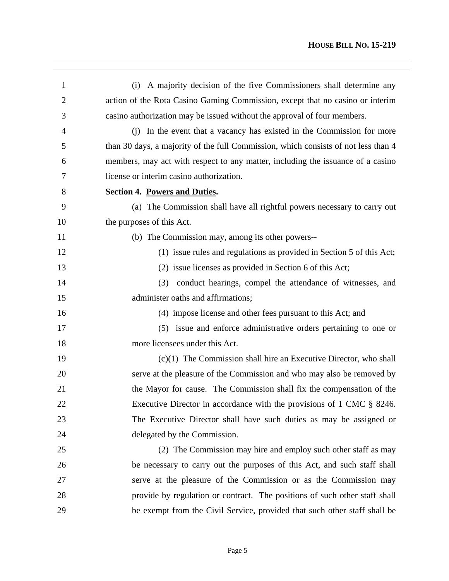| 1              | (i) A majority decision of the five Commissioners shall determine any              |
|----------------|------------------------------------------------------------------------------------|
| $\overline{2}$ | action of the Rota Casino Gaming Commission, except that no casino or interim      |
| 3              | casino authorization may be issued without the approval of four members.           |
| $\overline{4}$ | (i) In the event that a vacancy has existed in the Commission for more             |
| 5              | than 30 days, a majority of the full Commission, which consists of not less than 4 |
| 6              | members, may act with respect to any matter, including the issuance of a casino    |
| 7              | license or interim casino authorization.                                           |
| 8              | <b>Section 4. Powers and Duties.</b>                                               |
| 9              | (a) The Commission shall have all rightful powers necessary to carry out           |
| 10             | the purposes of this Act.                                                          |
| 11             | (b) The Commission may, among its other powers--                                   |
| 12             | (1) issue rules and regulations as provided in Section 5 of this Act;              |
| 13             | (2) issue licenses as provided in Section 6 of this Act;                           |
| 14             | conduct hearings, compel the attendance of witnesses, and<br>(3)                   |
| 15             | administer oaths and affirmations;                                                 |
| 16             | (4) impose license and other fees pursuant to this Act; and                        |
| 17             | (5) issue and enforce administrative orders pertaining to one or                   |
| 18             | more licensees under this Act.                                                     |
| 19             | $(c)(1)$ The Commission shall hire an Executive Director, who shall                |
| 20             | serve at the pleasure of the Commission and who may also be removed by             |
| 21             | the Mayor for cause. The Commission shall fix the compensation of the              |
| 22             | Executive Director in accordance with the provisions of 1 CMC § 8246.              |
| 23             | The Executive Director shall have such duties as may be assigned or                |
| 24             | delegated by the Commission.                                                       |
| 25             | (2) The Commission may hire and employ such other staff as may                     |
| 26             | be necessary to carry out the purposes of this Act, and such staff shall           |
| 27             | serve at the pleasure of the Commission or as the Commission may                   |
| 28             | provide by regulation or contract. The positions of such other staff shall         |
| 29             | be exempt from the Civil Service, provided that such other staff shall be          |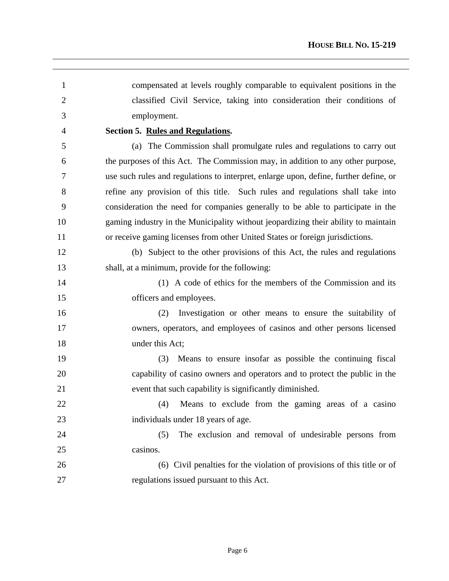| $\mathbf{1}$   | compensated at levels roughly comparable to equivalent positions in the               |
|----------------|---------------------------------------------------------------------------------------|
| $\overline{2}$ | classified Civil Service, taking into consideration their conditions of               |
| 3              | employment.                                                                           |
| 4              | Section 5. Rules and Regulations.                                                     |
| 5              | (a) The Commission shall promulgate rules and regulations to carry out                |
| 6              | the purposes of this Act. The Commission may, in addition to any other purpose,       |
| 7              | use such rules and regulations to interpret, enlarge upon, define, further define, or |
| 8              | refine any provision of this title. Such rules and regulations shall take into        |
| 9              | consideration the need for companies generally to be able to participate in the       |
| 10             | gaming industry in the Municipality without jeopardizing their ability to maintain    |
| 11             | or receive gaming licenses from other United States or foreign jurisdictions.         |
| 12             | (b) Subject to the other provisions of this Act, the rules and regulations            |
| 13             | shall, at a minimum, provide for the following:                                       |
| 14             | (1) A code of ethics for the members of the Commission and its                        |
| 15             | officers and employees.                                                               |
| 16             | Investigation or other means to ensure the suitability of<br>(2)                      |
| 17             | owners, operators, and employees of casinos and other persons licensed                |
| 18             | under this Act;                                                                       |
| 19             | Means to ensure insofar as possible the continuing fiscal<br>(3)                      |
| 20             | capability of casino owners and operators and to protect the public in the            |
| 21             | event that such capability is significantly diminished.                               |
| 22             | Means to exclude from the gaming areas of a casino<br>(4)                             |
| 23             | individuals under 18 years of age.                                                    |
| 24             | (5)<br>The exclusion and removal of undesirable persons from                          |
| 25             | casinos.                                                                              |
| 26             | (6) Civil penalties for the violation of provisions of this title or of               |
| 27             | regulations issued pursuant to this Act.                                              |
|                |                                                                                       |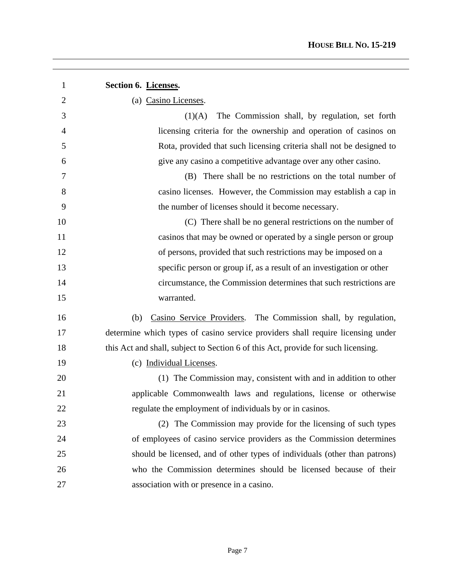| 1              | Section 6. Licenses.                                                              |
|----------------|-----------------------------------------------------------------------------------|
| $\overline{2}$ | (a) Casino Licenses.                                                              |
| 3              | The Commission shall, by regulation, set forth<br>(1)(A)                          |
| $\overline{4}$ | licensing criteria for the ownership and operation of casinos on                  |
| 5              | Rota, provided that such licensing criteria shall not be designed to              |
| 6              | give any casino a competitive advantage over any other casino.                    |
| 7              | (B) There shall be no restrictions on the total number of                         |
| 8              | casino licenses. However, the Commission may establish a cap in                   |
| 9              | the number of licenses should it become necessary.                                |
| 10             | (C) There shall be no general restrictions on the number of                       |
| 11             | casinos that may be owned or operated by a single person or group                 |
| 12             | of persons, provided that such restrictions may be imposed on a                   |
| 13             | specific person or group if, as a result of an investigation or other             |
| 14             | circumstance, the Commission determines that such restrictions are                |
| 15             | warranted.                                                                        |
| 16             | Casino Service Providers. The Commission shall, by regulation,<br>(b)             |
| 17             | determine which types of casino service providers shall require licensing under   |
| 18             | this Act and shall, subject to Section 6 of this Act, provide for such licensing. |
| 19             | (c) Individual Licenses.                                                          |
| 20             | (1) The Commission may, consistent with and in addition to other                  |
| 21             | applicable Commonwealth laws and regulations, license or otherwise                |
| 22             | regulate the employment of individuals by or in casinos.                          |
| 23             | (2) The Commission may provide for the licensing of such types                    |
| 24             | of employees of casino service providers as the Commission determines             |
| 25             | should be licensed, and of other types of individuals (other than patrons)        |
| 26             | who the Commission determines should be licensed because of their                 |
| 27             | association with or presence in a casino.                                         |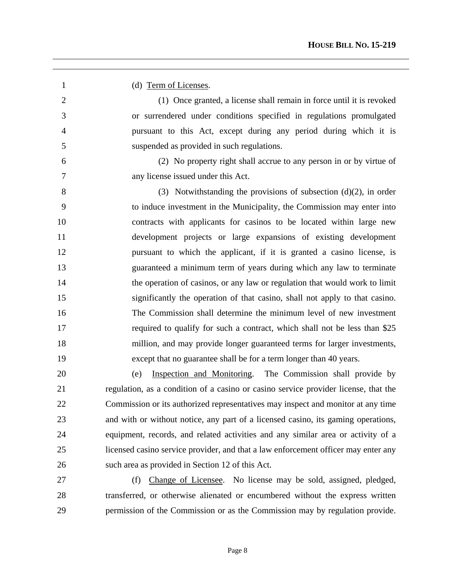1 (d) Term of Licenses. 2 (1) Once granted, a license shall remain in force until it is revoked 3 or surrendered under conditions specified in regulations promulgated 4 pursuant to this Act, except during any period during which it is 5 suspended as provided in such regulations. 6 (2) No property right shall accrue to any person in or by virtue of 7 any license issued under this Act. 8 (3) Notwithstanding the provisions of subsection  $(d)(2)$ , in order 9 to induce investment in the Municipality, the Commission may enter into 10 contracts with applicants for casinos to be located within large new 11 development projects or large expansions of existing development 12 pursuant to which the applicant, if it is granted a casino license, is 13 guaranteed a minimum term of years during which any law to terminate 14 the operation of casinos, or any law or regulation that would work to limit 15 significantly the operation of that casino, shall not apply to that casino. 16 The Commission shall determine the minimum level of new investment 17 required to qualify for such a contract, which shall not be less than \$25 18 million, and may provide longer guaranteed terms for larger investments, 19 except that no guarantee shall be for a term longer than 40 years. 20 (e) Inspection and Monitoring. The Commission shall provide by 21 regulation, as a condition of a casino or casino service provider license, that the 22 Commission or its authorized representatives may inspect and monitor at any time 23 and with or without notice, any part of a licensed casino, its gaming operations, 24 equipment, records, and related activities and any similar area or activity of a 25 licensed casino service provider, and that a law enforcement officer may enter any 26 such area as provided in Section 12 of this Act. 27 (f) Change of Licensee. No license may be sold, assigned, pledged, 28 transferred, or otherwise alienated or encumbered without the express written

 $\overline{a}$ 

29 permission of the Commission or as the Commission may by regulation provide.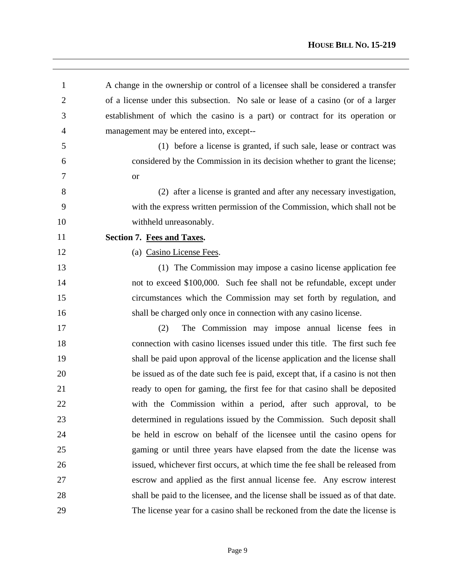| 1              | A change in the ownership or control of a licensee shall be considered a transfer |
|----------------|-----------------------------------------------------------------------------------|
| $\overline{2}$ | of a license under this subsection. No sale or lease of a casino (or of a larger  |
| 3              | establishment of which the casino is a part) or contract for its operation or     |
| $\overline{4}$ | management may be entered into, except--                                          |
| 5              | (1) before a license is granted, if such sale, lease or contract was              |
| 6              | considered by the Commission in its decision whether to grant the license;        |
| 7              | <b>or</b>                                                                         |
| 8              | (2) after a license is granted and after any necessary investigation,             |
| 9              | with the express written permission of the Commission, which shall not be         |
| 10             | withheld unreasonably.                                                            |
| 11             | Section 7. Fees and Taxes.                                                        |
| 12             | (a) Casino License Fees.                                                          |
| 13             | (1) The Commission may impose a casino license application fee                    |
| 14             | not to exceed \$100,000. Such fee shall not be refundable, except under           |
| 15             | circumstances which the Commission may set forth by regulation, and               |
| 16             | shall be charged only once in connection with any casino license.                 |
| 17             | The Commission may impose annual license fees in<br>(2)                           |
| 18             | connection with casino licenses issued under this title. The first such fee       |
| 19             | shall be paid upon approval of the license application and the license shall      |
| 20             | be issued as of the date such fee is paid, except that, if a casino is not then   |
| 21             | ready to open for gaming, the first fee for that casino shall be deposited        |
| 22             | with the Commission within a period, after such approval, to be                   |
| 23             | determined in regulations issued by the Commission. Such deposit shall            |
| 24             | be held in escrow on behalf of the licensee until the casino opens for            |
| 25             | gaming or until three years have elapsed from the date the license was            |
| 26             | issued, whichever first occurs, at which time the fee shall be released from      |
| 27             | escrow and applied as the first annual license fee. Any escrow interest           |
| 28             | shall be paid to the licensee, and the license shall be issued as of that date.   |
| 29             | The license year for a casino shall be reckoned from the date the license is      |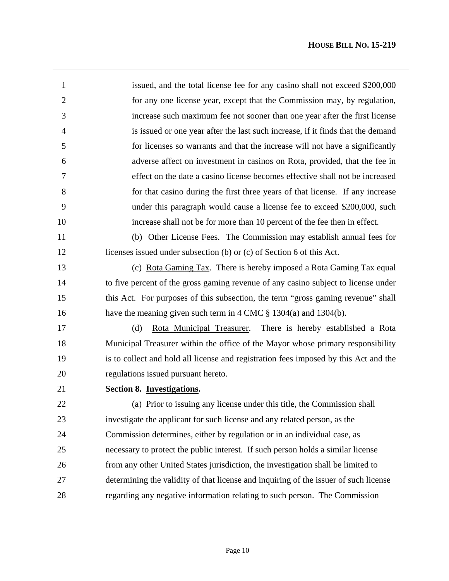| $\mathbf{1}$   | issued, and the total license fee for any casino shall not exceed \$200,000          |
|----------------|--------------------------------------------------------------------------------------|
| $\overline{2}$ | for any one license year, except that the Commission may, by regulation,             |
| 3              | increase such maximum fee not sooner than one year after the first license           |
| $\overline{4}$ | is issued or one year after the last such increase, if it finds that the demand      |
| 5              | for licenses so warrants and that the increase will not have a significantly         |
| 6              | adverse affect on investment in casinos on Rota, provided, that the fee in           |
| 7              | effect on the date a casino license becomes effective shall not be increased         |
| 8              | for that casino during the first three years of that license. If any increase        |
| 9              | under this paragraph would cause a license fee to exceed \$200,000, such             |
| 10             | increase shall not be for more than 10 percent of the fee then in effect.            |
| 11             | (b) Other License Fees. The Commission may establish annual fees for                 |
| 12             | licenses issued under subsection (b) or (c) of Section 6 of this Act.                |
| 13             | (c) Rota Gaming Tax. There is hereby imposed a Rota Gaming Tax equal                 |
| 14             | to five percent of the gross gaming revenue of any casino subject to license under   |
| 15             | this Act. For purposes of this subsection, the term "gross gaming revenue" shall     |
| 16             | have the meaning given such term in 4 CMC $\S$ 1304(a) and 1304(b).                  |
| 17             | Rota Municipal Treasurer. There is hereby established a Rota<br>(d)                  |
| 18             | Municipal Treasurer within the office of the Mayor whose primary responsibility      |
| 19             | is to collect and hold all license and registration fees imposed by this Act and the |
| 20             | regulations issued pursuant hereto.                                                  |
| 21             | Section 8. Investigations.                                                           |
| 22             | (a) Prior to issuing any license under this title, the Commission shall              |
| 23             | investigate the applicant for such license and any related person, as the            |
| 24             | Commission determines, either by regulation or in an individual case, as             |
| 25             | necessary to protect the public interest. If such person holds a similar license     |
| 26             | from any other United States jurisdiction, the investigation shall be limited to     |
| 27             | determining the validity of that license and inquiring of the issuer of such license |
| 28             | regarding any negative information relating to such person. The Commission           |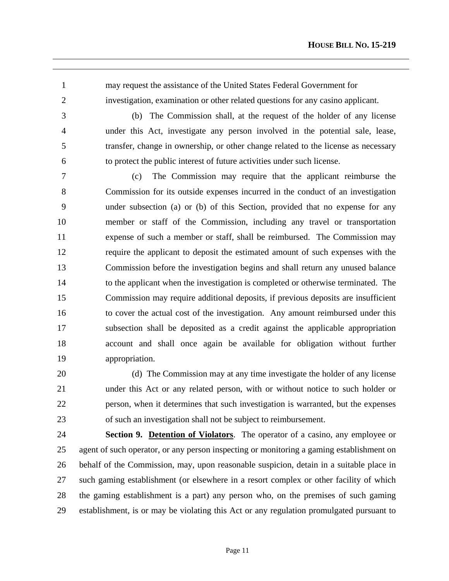1 may request the assistance of the United States Federal Government for 2 investigation, examination or other related questions for any casino applicant.

 $\overline{a}$ 

3 (b) The Commission shall, at the request of the holder of any license 4 under this Act, investigate any person involved in the potential sale, lease, 5 transfer, change in ownership, or other change related to the license as necessary 6 to protect the public interest of future activities under such license.

7 (c) The Commission may require that the applicant reimburse the 8 Commission for its outside expenses incurred in the conduct of an investigation 9 under subsection (a) or (b) of this Section, provided that no expense for any 10 member or staff of the Commission, including any travel or transportation 11 expense of such a member or staff, shall be reimbursed. The Commission may 12 require the applicant to deposit the estimated amount of such expenses with the 13 Commission before the investigation begins and shall return any unused balance 14 to the applicant when the investigation is completed or otherwise terminated. The 15 Commission may require additional deposits, if previous deposits are insufficient 16 to cover the actual cost of the investigation. Any amount reimbursed under this 17 subsection shall be deposited as a credit against the applicable appropriation 18 account and shall once again be available for obligation without further 19 appropriation.

20 (d) The Commission may at any time investigate the holder of any license 21 under this Act or any related person, with or without notice to such holder or 22 person, when it determines that such investigation is warranted, but the expenses 23 of such an investigation shall not be subject to reimbursement.

24 **Section 9. Detention of Violators**. The operator of a casino, any employee or 25 agent of such operator, or any person inspecting or monitoring a gaming establishment on 26 behalf of the Commission, may, upon reasonable suspicion, detain in a suitable place in 27 such gaming establishment (or elsewhere in a resort complex or other facility of which 28 the gaming establishment is a part) any person who, on the premises of such gaming 29 establishment, is or may be violating this Act or any regulation promulgated pursuant to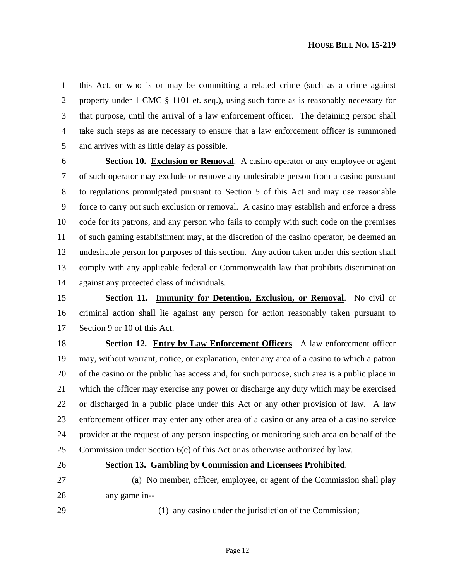1 this Act, or who is or may be committing a related crime (such as a crime against 2 property under 1 CMC § 1101 et. seq.), using such force as is reasonably necessary for 3 that purpose, until the arrival of a law enforcement officer. The detaining person shall 4 take such steps as are necessary to ensure that a law enforcement officer is summoned 5 and arrives with as little delay as possible.

6 **Section 10. Exclusion or Removal**. A casino operator or any employee or agent 7 of such operator may exclude or remove any undesirable person from a casino pursuant 8 to regulations promulgated pursuant to Section 5 of this Act and may use reasonable 9 force to carry out such exclusion or removal. A casino may establish and enforce a dress 10 code for its patrons, and any person who fails to comply with such code on the premises 11 of such gaming establishment may, at the discretion of the casino operator, be deemed an 12 undesirable person for purposes of this section. Any action taken under this section shall 13 comply with any applicable federal or Commonwealth law that prohibits discrimination 14 against any protected class of individuals.

15 **Section 11. Immunity for Detention, Exclusion, or Removal**. No civil or 16 criminal action shall lie against any person for action reasonably taken pursuant to 17 Section 9 or 10 of this Act.

18 **Section 12. Entry by Law Enforcement Officers**. A law enforcement officer 19 may, without warrant, notice, or explanation, enter any area of a casino to which a patron 20 of the casino or the public has access and, for such purpose, such area is a public place in 21 which the officer may exercise any power or discharge any duty which may be exercised 22 or discharged in a public place under this Act or any other provision of law. A law 23 enforcement officer may enter any other area of a casino or any area of a casino service 24 provider at the request of any person inspecting or monitoring such area on behalf of the 25 Commission under Section 6(e) of this Act or as otherwise authorized by law.

 $\overline{a}$ 

### 26 **Section 13. Gambling by Commission and Licensees Prohibited**.

27 (a) No member, officer, employee, or agent of the Commission shall play 28 any game in--

29 (1) any casino under the jurisdiction of the Commission;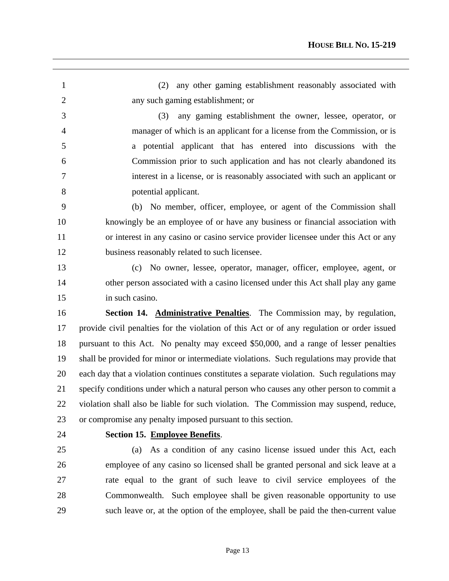| $\mathbf{1}$   | any other gaming establishment reasonably associated with<br>(2)                           |
|----------------|--------------------------------------------------------------------------------------------|
| $\overline{2}$ | any such gaming establishment; or                                                          |
| 3              | any gaming establishment the owner, lessee, operator, or<br>(3)                            |
| $\overline{4}$ | manager of which is an applicant for a license from the Commission, or is                  |
| 5              | a potential applicant that has entered into discussions with the                           |
| 6              | Commission prior to such application and has not clearly abandoned its                     |
| 7              | interest in a license, or is reasonably associated with such an applicant or               |
| 8              | potential applicant.                                                                       |
| 9              | (b) No member, officer, employee, or agent of the Commission shall                         |
| 10             | knowingly be an employee of or have any business or financial association with             |
| 11             | or interest in any casino or casino service provider licensee under this Act or any        |
| 12             | business reasonably related to such licensee.                                              |
| 13             | (c) No owner, lessee, operator, manager, officer, employee, agent, or                      |
| 14             | other person associated with a casino licensed under this Act shall play any game          |
| 15             | in such casino.                                                                            |
| 16             | Section 14. Administrative Penalties. The Commission may, by regulation,                   |
| 17             | provide civil penalties for the violation of this Act or of any regulation or order issued |
|                |                                                                                            |
| 18             | pursuant to this Act. No penalty may exceed \$50,000, and a range of lesser penalties      |
| 19             | shall be provided for minor or intermediate violations. Such regulations may provide that  |
| 20             | each day that a violation continues constitutes a separate violation. Such regulations may |
| 21             | specify conditions under which a natural person who causes any other person to commit a    |
| 22             | violation shall also be liable for such violation. The Commission may suspend, reduce,     |
| 23             | or compromise any penalty imposed pursuant to this section.                                |
| 24             | Section 15. Employee Benefits.                                                             |
| 25             | As a condition of any casino license issued under this Act, each<br>(a)                    |
| 26             | employee of any casino so licensed shall be granted personal and sick leave at a           |
| 27             | rate equal to the grant of such leave to civil service employees of the                    |
| 28             | Commonwealth. Such employee shall be given reasonable opportunity to use                   |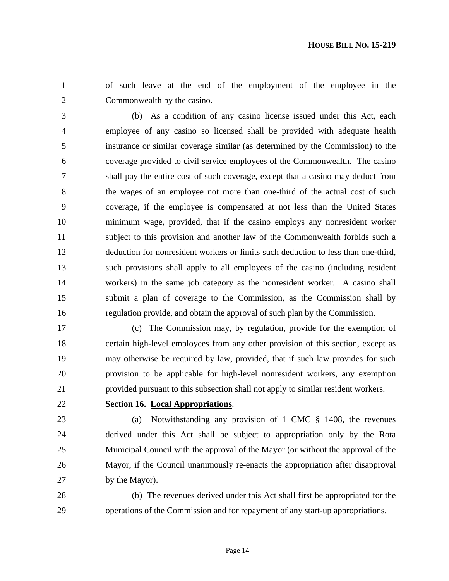1 of such leave at the end of the employment of the employee in the 2 Commonwealth by the casino.

3 (b) As a condition of any casino license issued under this Act, each 4 employee of any casino so licensed shall be provided with adequate health 5 insurance or similar coverage similar (as determined by the Commission) to the 6 coverage provided to civil service employees of the Commonwealth. The casino 7 shall pay the entire cost of such coverage, except that a casino may deduct from 8 the wages of an employee not more than one-third of the actual cost of such 9 coverage, if the employee is compensated at not less than the United States 10 minimum wage, provided, that if the casino employs any nonresident worker 11 subject to this provision and another law of the Commonwealth forbids such a 12 deduction for nonresident workers or limits such deduction to less than one-third, 13 such provisions shall apply to all employees of the casino (including resident 14 workers) in the same job category as the nonresident worker. A casino shall 15 submit a plan of coverage to the Commission, as the Commission shall by 16 regulation provide, and obtain the approval of such plan by the Commission.

17 (c) The Commission may, by regulation, provide for the exemption of 18 certain high-level employees from any other provision of this section, except as 19 may otherwise be required by law, provided, that if such law provides for such 20 provision to be applicable for high-level nonresident workers, any exemption 21 provided pursuant to this subsection shall not apply to similar resident workers.

 $\overline{a}$ 

# 22 **Section 16. Local Appropriations**.

23 (a) Notwithstanding any provision of 1 CMC § 1408, the revenues 24 derived under this Act shall be subject to appropriation only by the Rota 25 Municipal Council with the approval of the Mayor (or without the approval of the 26 Mayor, if the Council unanimously re-enacts the appropriation after disapproval 27 by the Mayor).

28 (b) The revenues derived under this Act shall first be appropriated for the 29 operations of the Commission and for repayment of any start-up appropriations.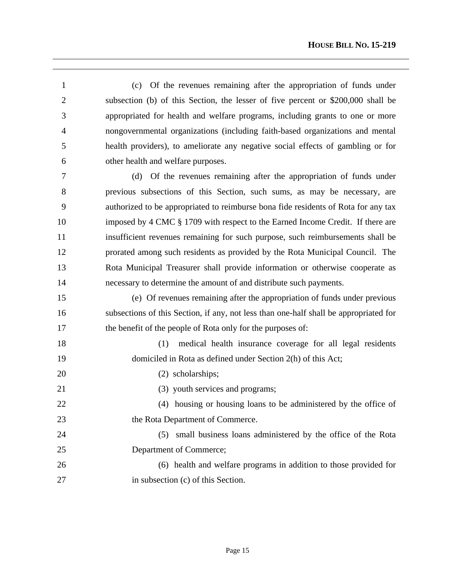1 (c) Of the revenues remaining after the appropriation of funds under 2 subsection (b) of this Section, the lesser of five percent or \$200,000 shall be 3 appropriated for health and welfare programs, including grants to one or more 4 nongovernmental organizations (including faith-based organizations and mental 5 health providers), to ameliorate any negative social effects of gambling or for 6 other health and welfare purposes.

7 (d) Of the revenues remaining after the appropriation of funds under 8 previous subsections of this Section, such sums, as may be necessary, are 9 authorized to be appropriated to reimburse bona fide residents of Rota for any tax 10 imposed by 4 CMC § 1709 with respect to the Earned Income Credit. If there are 11 insufficient revenues remaining for such purpose, such reimbursements shall be 12 prorated among such residents as provided by the Rota Municipal Council. The 13 Rota Municipal Treasurer shall provide information or otherwise cooperate as 14 necessary to determine the amount of and distribute such payments.

15 (e) Of revenues remaining after the appropriation of funds under previous 16 subsections of this Section, if any, not less than one-half shall be appropriated for 17 the benefit of the people of Rota only for the purposes of:

18 (1) medical health insurance coverage for all legal residents 19 domiciled in Rota as defined under Section 2(h) of this Act;

20 (2) scholarships;

 $\overline{a}$ 

21 (3) youth services and programs;

22 (4) housing or housing loans to be administered by the office of 23 the Rota Department of Commerce.

24 (5) small business loans administered by the office of the Rota 25 Department of Commerce;

26 (6) health and welfare programs in addition to those provided for 27 in subsection (c) of this Section.